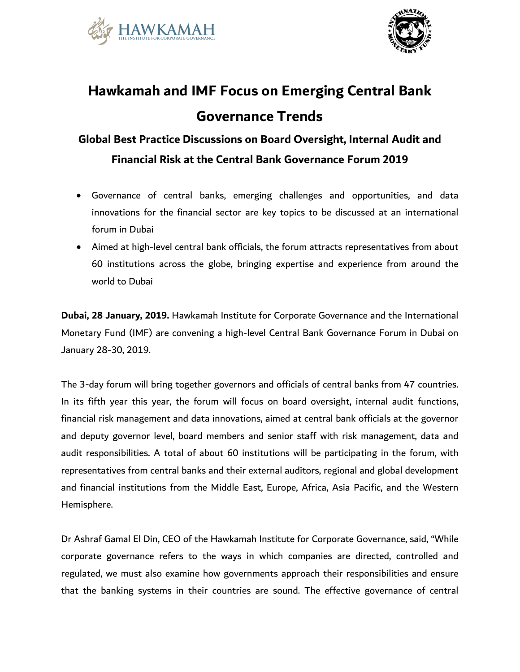



## **Hawkamah and IMF Focus on Emerging Central Bank Governance Trends**

## **Global Best Practice Discussions on Board Oversight, Internal Audit and Financial Risk at the Central Bank Governance Forum 2019**

- Governance of central banks, emerging challenges and opportunities, and data innovations for the financial sector are key topics to be discussed at an international forum in Dubai
- Aimed at high-level central bank officials, the forum attracts representatives from about 60 institutions across the globe, bringing expertise and experience from around the world to Dubai

**Dubai, 28 January, 2019.** Hawkamah Institute for Corporate Governance and the International Monetary Fund (IMF) are convening a high-level Central Bank Governance Forum in Dubai on January 28-30, 2019.

The 3-day forum will bring together governors and officials of central banks from 47 countries. In its fifth year this year, the forum will focus on board oversight, internal audit functions, financial risk management and data innovations, aimed at central bank officials at the governor and deputy governor level, board members and senior staff with risk management, data and audit responsibilities. A total of about 60 institutions will be participating in the forum, with representatives from central banks and their external auditors, regional and global development and financial institutions from the Middle East, Europe, Africa, Asia Pacific, and the Western Hemisphere.

Dr Ashraf Gamal El Din, CEO of the Hawkamah Institute for Corporate Governance, said, "While corporate governance refers to the ways in which companies are directed, controlled and regulated, we must also examine how governments approach their responsibilities and ensure that the banking systems in their countries are sound. The effective governance of central